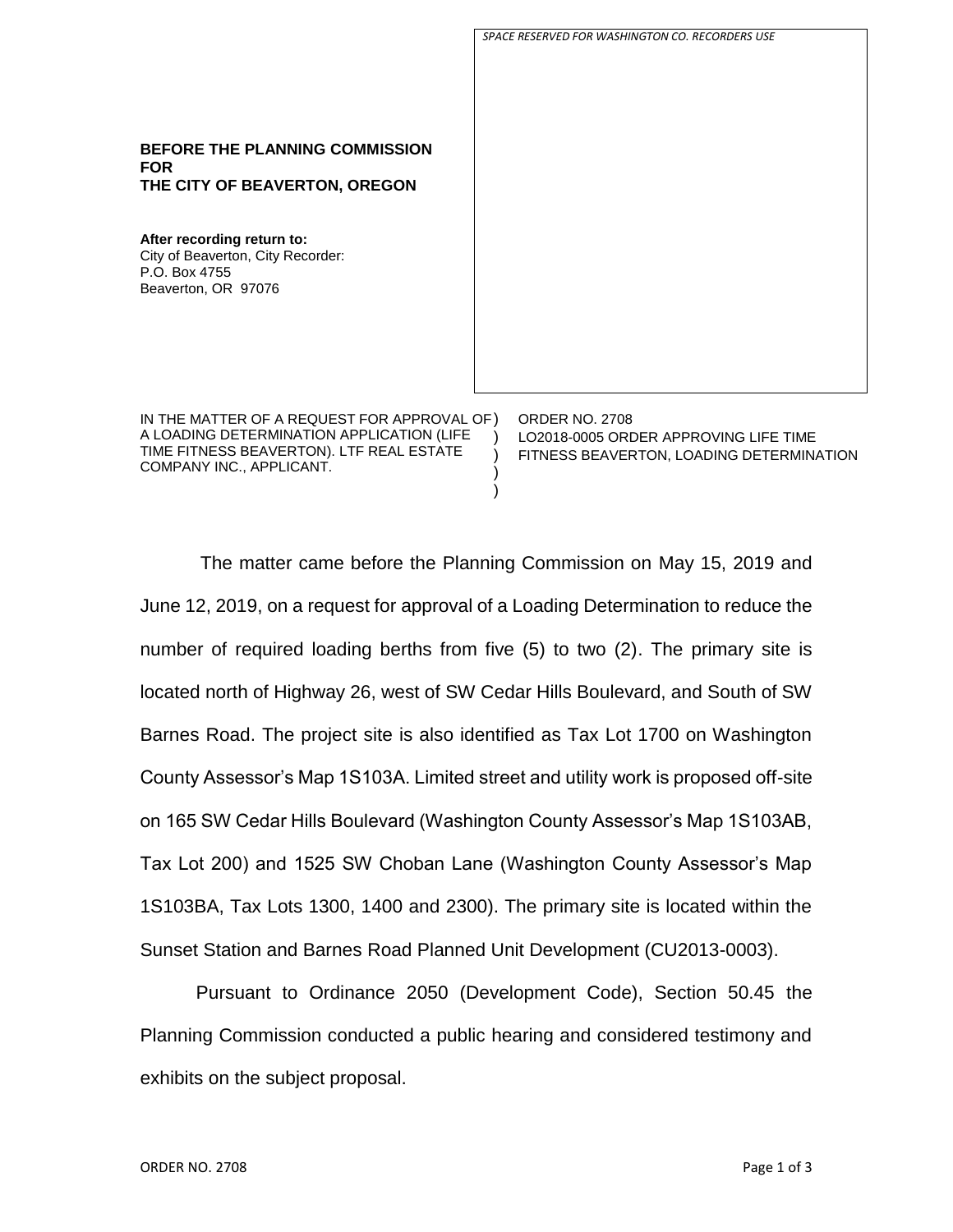|                                                                                                                                      | SPACE RESERVED FOR WASHINGTON CO. RECORDERS USE                                                            |
|--------------------------------------------------------------------------------------------------------------------------------------|------------------------------------------------------------------------------------------------------------|
| <b>BEFORE THE PLANNING COMMISSION</b><br><b>FOR</b><br>THE CITY OF BEAVERTON, OREGON                                                 |                                                                                                            |
| After recording return to:<br>City of Beaverton, City Recorder:<br>P.O. Box 4755<br>Beaverton, OR 97076                              |                                                                                                            |
| IN THE MATTER OF A REQUEST FOR APPROVAL OF)<br>A LOADING DETERMINATION APPLICATION (LIFE<br>TIME FITNESS BEAVERTON). LTF REAL ESTATE | <b>ORDER NO. 2708</b><br>LO2018-0005 ORDER APPROVING LIFE TIME<br>FITNESS BEAVERTON, LOADING DETERMINATION |

 $\lambda$  $\lambda$ 

The matter came before the Planning Commission on May 15, 2019 and June 12, 2019, on a request for approval of a Loading Determination to reduce the number of required loading berths from five (5) to two (2). The primary site is located north of Highway 26, west of SW Cedar Hills Boulevard, and South of SW Barnes Road. The project site is also identified as Tax Lot 1700 on Washington County Assessor's Map 1S103A. Limited street and utility work is proposed off-site on 165 SW Cedar Hills Boulevard (Washington County Assessor's Map 1S103AB, Tax Lot 200) and 1525 SW Choban Lane (Washington County Assessor's Map 1S103BA, Tax Lots 1300, 1400 and 2300). The primary site is located within the Sunset Station and Barnes Road Planned Unit Development (CU2013-0003).

Pursuant to Ordinance 2050 (Development Code), Section 50.45 the Planning Commission conducted a public hearing and considered testimony and exhibits on the subject proposal.

COMPANY INC., APPLICANT.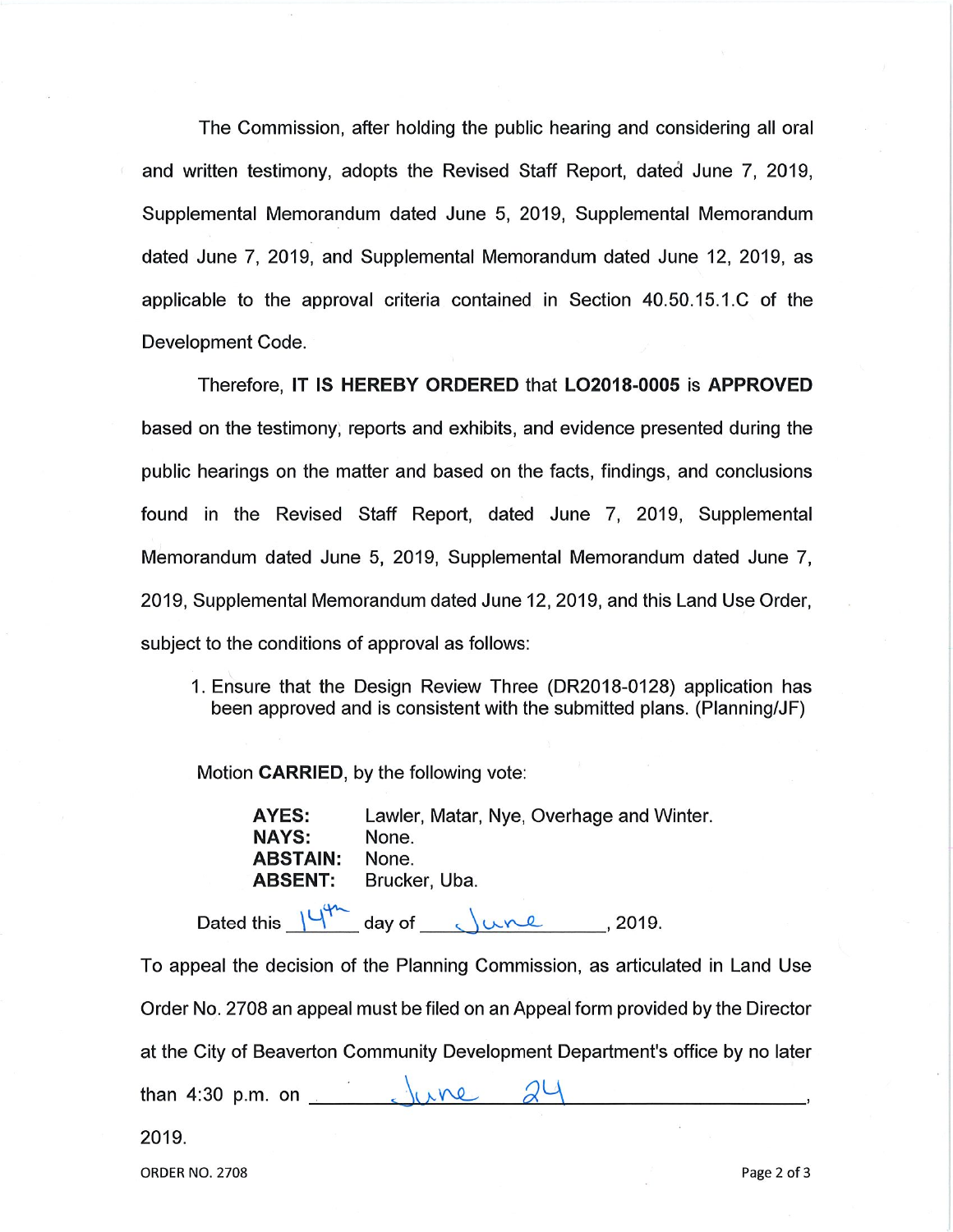The Commission, after holding the public hearing and considering all oral and written testimony, adopts the Revised Staff Report, dated June 7, 2019, Supplemental Memorandum dated June 5, 2019, Supplemental Memorandum dated June 7, 2019, and Supplemental Memorandum dated June 12, 2019, as applicable to the approval criteria contained in Section 40.50.15.1.C of the Development Code.

Therefore, IT IS HEREBY ORDERED that LO2018-0005 is APPROVED based on the testimony, reports and exhibits, and evidence presented during the public hearings on the matter and based on the facts, findings, and conclusions found in the Revised Staff Report, dated June 7, 2019, Supplemental Memorandum dated June 5, 2019, Supplemental Memorandum dated June 7, 2019, Supplemental Memorandum dated June 12, 2019, and this Land Use Order, subject to the conditions of approval as follows:

1. Ensure that the Design Review Three (DR2018-0128) application has been approved and is consistent with the submitted plans. (Planning/JF)

Motion CARRIED, by the following vote:

AYES: Lawler, Matar, Nye, Overhage and Winter. **NAYS:** None. **ABSTAIN:** None. Brucker, Uba. **ABSENT:** 

Dated this  $14^{44}$  day of  $\sqrt{219}$ , 2019.

To appeal the decision of the Planning Commission, as articulated in Land Use Order No. 2708 an appeal must be filed on an Appeal form provided by the Director at the City of Beaverton Community Development Department's office by no later  $24$ than 4:30 p.m. on

2019.

**ORDER NO. 2708**